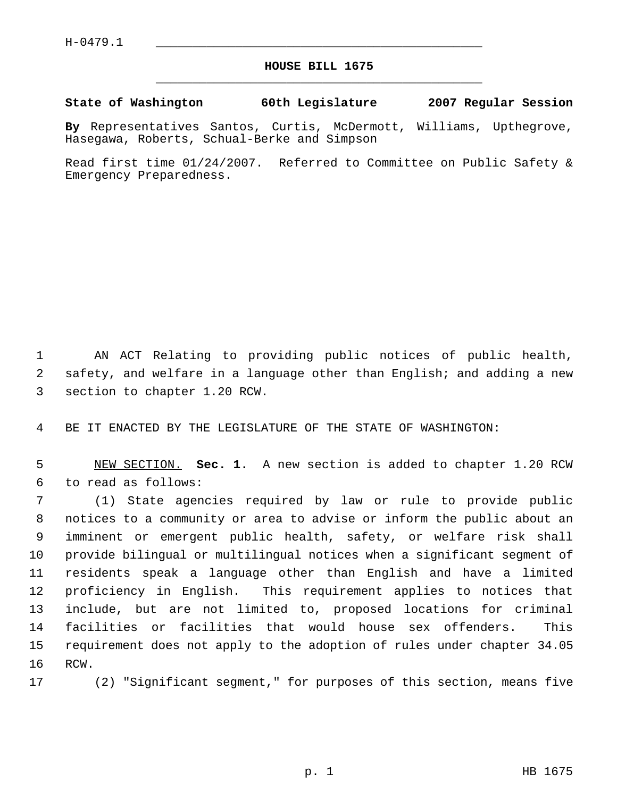## **HOUSE BILL 1675** \_\_\_\_\_\_\_\_\_\_\_\_\_\_\_\_\_\_\_\_\_\_\_\_\_\_\_\_\_\_\_\_\_\_\_\_\_\_\_\_\_\_\_\_\_

**State of Washington 60th Legislature 2007 Regular Session**

**By** Representatives Santos, Curtis, McDermott, Williams, Upthegrove, Hasegawa, Roberts, Schual-Berke and Simpson

Read first time 01/24/2007. Referred to Committee on Public Safety & Emergency Preparedness.

 AN ACT Relating to providing public notices of public health, safety, and welfare in a language other than English; and adding a new section to chapter 1.20 RCW.

BE IT ENACTED BY THE LEGISLATURE OF THE STATE OF WASHINGTON:

 NEW SECTION. **Sec. 1.** A new section is added to chapter 1.20 RCW to read as follows:

 (1) State agencies required by law or rule to provide public notices to a community or area to advise or inform the public about an imminent or emergent public health, safety, or welfare risk shall provide bilingual or multilingual notices when a significant segment of residents speak a language other than English and have a limited proficiency in English. This requirement applies to notices that include, but are not limited to, proposed locations for criminal facilities or facilities that would house sex offenders. This requirement does not apply to the adoption of rules under chapter 34.05 RCW.

(2) "Significant segment," for purposes of this section, means five